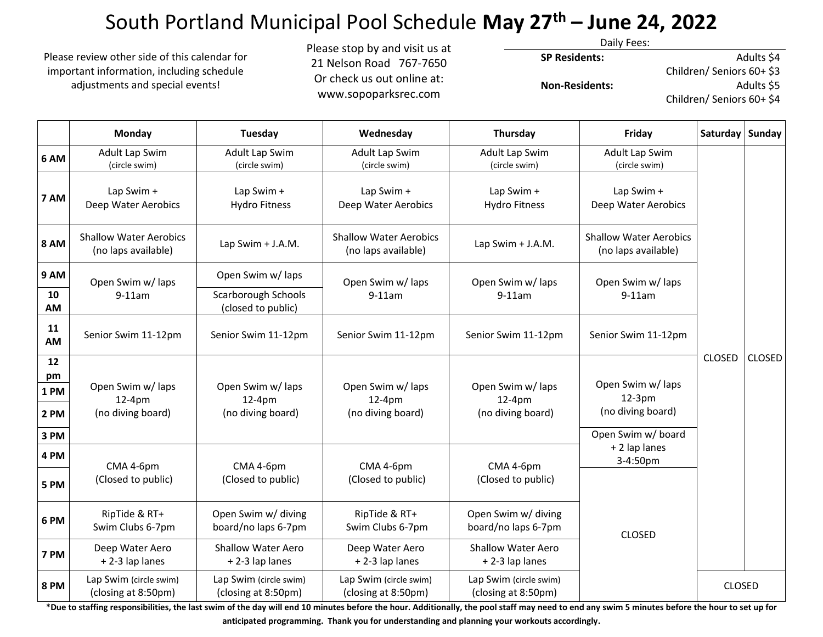# South Portland Municipal Pool Schedule **May 27th – June 24, 2022**

Please review other side of this calendar for important information, including schedule adjustments and special events!

Please stop by and visit us at 21 Nelson Road 767-7650 Or check us out online at: www.sopoparksrec.com

Daily Fees:

**SP Residents:**

 **Non-Residents:** 

Adults \$4 Children/ Seniors 60+ \$3 Adults \$5

Children/ Seniors 60+ \$4

|                                 | Monday                                               | Tuesday                                          | Wednesday                                            | Thursday                                         | Friday                                                                   | Saturday   Sunday |               |
|---------------------------------|------------------------------------------------------|--------------------------------------------------|------------------------------------------------------|--------------------------------------------------|--------------------------------------------------------------------------|-------------------|---------------|
| 6 AM                            | Adult Lap Swim<br>(circle swim)                      | Adult Lap Swim<br>(circle swim)                  | <b>Adult Lap Swim</b><br>(circle swim)               | Adult Lap Swim<br>(circle swim)                  | Adult Lap Swim<br>(circle swim)                                          | <b>CLOSED</b>     | <b>CLOSED</b> |
| 7 AM                            | Lap Swim +<br>Deep Water Aerobics                    | Lap Swim +<br><b>Hydro Fitness</b>               | Lap Swim +<br>Deep Water Aerobics                    | Lap Swim +<br><b>Hydro Fitness</b>               | Lap Swim +<br>Deep Water Aerobics                                        |                   |               |
| <b>8 AM</b>                     | <b>Shallow Water Aerobics</b><br>(no laps available) | Lap Swim + J.A.M.                                | <b>Shallow Water Aerobics</b><br>(no laps available) | Lap Swim + J.A.M.                                | <b>Shallow Water Aerobics</b><br>(no laps available)                     |                   |               |
| 9 AM                            | Open Swim w/ laps<br>$9-11am$                        | Open Swim w/ laps                                | Open Swim w/ laps<br>$9-11am$                        | Open Swim w/ laps<br>$9-11am$                    | Open Swim w/ laps<br>$9-11am$                                            |                   |               |
| 10<br>AM                        |                                                      | Scarborough Schools<br>(closed to public)        |                                                      |                                                  |                                                                          |                   |               |
| 11<br>AM                        | Senior Swim 11-12pm                                  | Senior Swim 11-12pm                              | Senior Swim 11-12pm                                  | Senior Swim 11-12pm                              | Senior Swim 11-12pm                                                      |                   |               |
| 12<br>pm<br>1PM<br>2 PM<br>3 PM | Open Swim w/ laps<br>12-4pm<br>(no diving board)     | Open Swim w/ laps<br>12-4pm<br>(no diving board) | Open Swim w/ laps<br>12-4pm<br>(no diving board)     | Open Swim w/ laps<br>12-4pm<br>(no diving board) | Open Swim w/ laps<br>$12-3pm$<br>(no diving board)<br>Open Swim w/ board |                   |               |
| 4 PM                            | CMA 4-6pm<br>(Closed to public)                      | CMA 4-6pm<br>(Closed to public)                  | CMA 4-6pm<br>(Closed to public)                      | CMA 4-6pm<br>(Closed to public)                  | + 2 lap lanes<br>3-4:50pm                                                |                   |               |
| 5 PM                            |                                                      |                                                  |                                                      |                                                  | <b>CLOSED</b>                                                            |                   |               |
| 6 PM                            | RipTide & RT+<br>Swim Clubs 6-7pm                    | Open Swim w/ diving<br>board/no laps 6-7pm       | RipTide & RT+<br>Swim Clubs 6-7pm                    | Open Swim w/ diving<br>board/no laps 6-7pm       |                                                                          |                   |               |
| 7 PM                            | Deep Water Aero<br>+2-3 lap lanes                    | <b>Shallow Water Aero</b><br>+2-3 lap lanes      | Deep Water Aero<br>+2-3 lap lanes                    | <b>Shallow Water Aero</b><br>+2-3 lap lanes      |                                                                          |                   |               |
| <b>8 PM</b>                     | Lap Swim (circle swim)<br>(closing at 8:50pm)        | Lap Swim (circle swim)<br>(closing at 8:50pm)    | Lap Swim (circle swim)<br>(closing at 8:50pm)        | Lap Swim (circle swim)<br>(closing at 8:50pm)    |                                                                          | <b>CLOSED</b>     |               |

**\*Due to staffing responsibilities, the last swim of the day will end 10 minutes before the hour. Additionally, the pool staff may need to end any swim 5 minutes before the hour to set up for anticipated programming. Thank you for understanding and planning your workouts accordingly.**